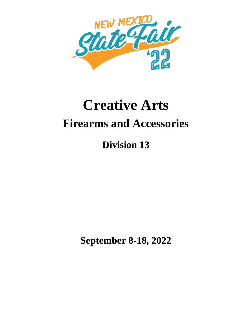

# **Creative Arts Firearms and Accessories**

# **Division 13**

**September 8-18, 2022**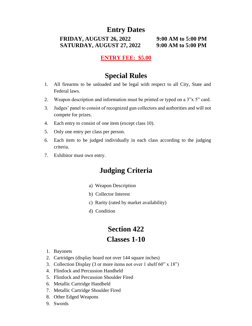# **Entry Dates**

#### **FRIDAY, AUGUST 26, 2022 9:00 AM to 5:00 PM SATURDAY, AUGUST 27, 2022 9:00 AM to 5:00 PM**

#### **ENTRY FEE: \$5.00**

## **Special Rules**

- 1. All firearms to be unloaded and be legal with respect to all City, State and Federal laws.
- 2. Weapon description and information must be printed or typed on a 3"x 5" card.
- 3. Judges' panel to consist of recognized gun collectors and authorities and will not compete for prizes.
- 4. Each entry to consist of one item (except class 10).
- 5. Only one entry per class per person.
- 6. Each item to be judged individually in each class according to the judging criteria.
- 7. Exhibitor must own entry.

# **Judging Criteria**

- a) Weapon Description
- b) Collector Interest
- c) Rarity (rated by market availability)
- d) Condition

# **Section 422 Classes 1-10**

- 1. Bayonets
- 2. Cartridges (display board not over 144 square inches)
- 3. Collection Display (3 or more items not over 1 shelf 60" x 18")
- 4. Flintlock and Percussion Handheld
- 5. Flintlock and Percussion Shoulder Fired
- 6. Metallic Cartridge Handheld
- 7. Metallic Cartridge Shoulder Fired
- 8. Other Edged Weapons
- 9. Swords